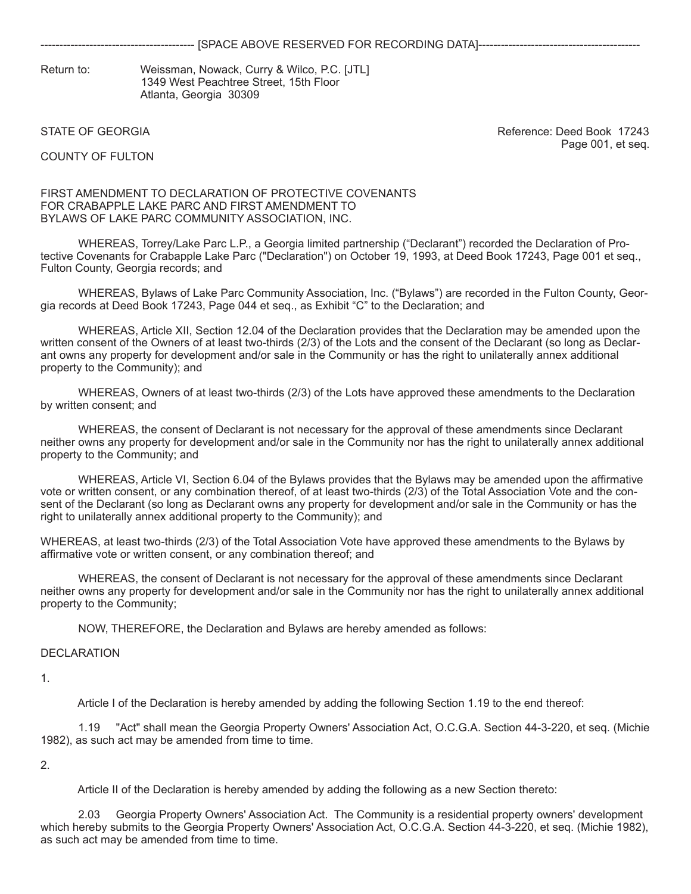Return to: Weissman, Nowack, Curry & Wilco, P.C. [JTL] 1349 West Peachtree Street, 15th Floor Atlanta, Georgia 30309

STATE OF GEORGIA Reference: Deed Book 17243 Page 001, et seq.

COUNTY OF FULTON

#### FIRST AMENDMENT TO DECLARATION OF PROTECTIVE COVENANTS FOR CRABAPPLE LAKE PARC AND FIRST AMENDMENT TO BYLAWS OF LAKE PARC COMMUNITY ASSOCIATION, INC.

 WHEREAS, Torrey/Lake Parc L.P., a Georgia limited partnership ("Declarant") recorded the Declaration of Protective Covenants for Crabapple Lake Parc ("Declaration") on October 19, 1993, at Deed Book 17243, Page 001 et seq., Fulton County, Georgia records; and

 WHEREAS, Bylaws of Lake Parc Community Association, Inc. ("Bylaws") are recorded in the Fulton County, Georgia records at Deed Book 17243, Page 044 et seq., as Exhibit "C" to the Declaration; and

 WHEREAS, Article XII, Section 12.04 of the Declaration provides that the Declaration may be amended upon the written consent of the Owners of at least two-thirds (2/3) of the Lots and the consent of the Declarant (so long as Declarant owns any property for development and/or sale in the Community or has the right to unilaterally annex additional property to the Community); and

 WHEREAS, Owners of at least two-thirds (2/3) of the Lots have approved these amendments to the Declaration by written consent; and

 WHEREAS, the consent of Declarant is not necessary for the approval of these amendments since Declarant neither owns any property for development and/or sale in the Community nor has the right to unilaterally annex additional property to the Community; and

 WHEREAS, Article VI, Section 6.04 of the Bylaws provides that the Bylaws may be amended upon the affirmative vote or written consent, or any combination thereof, of at least two-thirds (2/3) of the Total Association Vote and the consent of the Declarant (so long as Declarant owns any property for development and/or sale in the Community or has the right to unilaterally annex additional property to the Community); and

WHEREAS, at least two-thirds (2/3) of the Total Association Vote have approved these amendments to the Bylaws by affirmative vote or written consent, or any combination thereof; and

 WHEREAS, the consent of Declarant is not necessary for the approval of these amendments since Declarant neither owns any property for development and/or sale in the Community nor has the right to unilaterally annex additional property to the Community;

NOW, THEREFORE, the Declaration and Bylaws are hereby amended as follows:

## DECLARATION

1.

Article I of the Declaration is hereby amended by adding the following Section 1.19 to the end thereof:

 1.19 "Act" shall mean the Georgia Property Owners' Association Act, O.C.G.A. Section 44-3-220, et seq. (Michie 1982), as such act may be amended from time to time.

2.

Article II of the Declaration is hereby amended by adding the following as a new Section thereto:

 2.03 Georgia Property Owners' Association Act. The Community is a residential property owners' development which hereby submits to the Georgia Property Owners' Association Act, O.C.G.A. Section 44-3-220, et seq. (Michie 1982), as such act may be amended from time to time.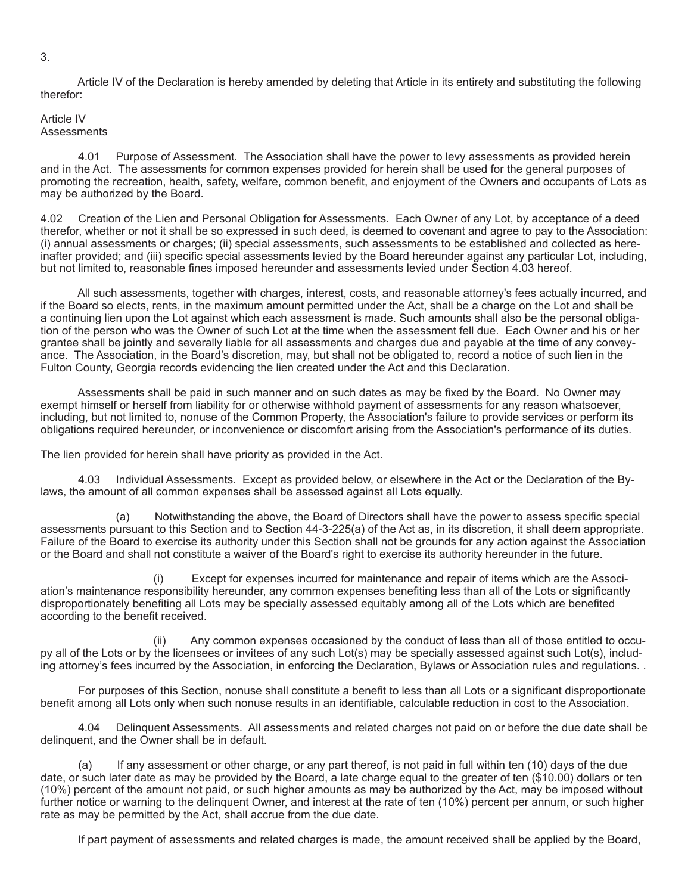3.

 Article IV of the Declaration is hereby amended by deleting that Article in its entirety and substituting the following therefor:

## Article IV **Assessments**

 4.01 Purpose of Assessment. The Association shall have the power to levy assessments as provided herein and in the Act. The assessments for common expenses provided for herein shall be used for the general purposes of promoting the recreation, health, safety, welfare, common benefit, and enjoyment of the Owners and occupants of Lots as may be authorized by the Board.

4.02 Creation of the Lien and Personal Obligation for Assessments. Each Owner of any Lot, by acceptance of a deed therefor, whether or not it shall be so expressed in such deed, is deemed to covenant and agree to pay to the Association: (i) annual assessments or charges; (ii) special assessments, such assessments to be established and collected as hereinafter provided; and (iii) specific special assessments levied by the Board hereunder against any particular Lot, including, but not limited to, reasonable fines imposed hereunder and assessments levied under Section 4.03 hereof.

 All such assessments, together with charges, interest, costs, and reasonable attorney's fees actually incurred, and if the Board so elects, rents, in the maximum amount permitted under the Act, shall be a charge on the Lot and shall be a continuing lien upon the Lot against which each assessment is made. Such amounts shall also be the personal obligation of the person who was the Owner of such Lot at the time when the assessment fell due. Each Owner and his or her grantee shall be jointly and severally liable for all assessments and charges due and payable at the time of any conveyance. The Association, in the Board's discretion, may, but shall not be obligated to, record a notice of such lien in the Fulton County, Georgia records evidencing the lien created under the Act and this Declaration.

 Assessments shall be paid in such manner and on such dates as may be fixed by the Board. No Owner may exempt himself or herself from liability for or otherwise withhold payment of assessments for any reason whatsoever, including, but not limited to, nonuse of the Common Property, the Association's failure to provide services or perform its obligations required hereunder, or inconvenience or discomfort arising from the Association's performance of its duties.

The lien provided for herein shall have priority as provided in the Act.

 4.03 Individual Assessments. Except as provided below, or elsewhere in the Act or the Declaration of the Bylaws, the amount of all common expenses shall be assessed against all Lots equally.

 (a) Notwithstanding the above, the Board of Directors shall have the power to assess specific special assessments pursuant to this Section and to Section 44-3-225(a) of the Act as, in its discretion, it shall deem appropriate. Failure of the Board to exercise its authority under this Section shall not be grounds for any action against the Association or the Board and shall not constitute a waiver of the Board's right to exercise its authority hereunder in the future.

 (i) Except for expenses incurred for maintenance and repair of items which are the Association's maintenance responsibility hereunder, any common expenses benefiting less than all of the Lots or significantly disproportionately benefiting all Lots may be specially assessed equitably among all of the Lots which are benefited according to the benefit received.

 (ii) Any common expenses occasioned by the conduct of less than all of those entitled to occupy all of the Lots or by the licensees or invitees of any such Lot(s) may be specially assessed against such Lot(s), including attorney's fees incurred by the Association, in enforcing the Declaration, Bylaws or Association rules and regulations. .

 For purposes of this Section, nonuse shall constitute a benefit to less than all Lots or a significant disproportionate benefit among all Lots only when such nonuse results in an identifiable, calculable reduction in cost to the Association.

 4.04 Delinquent Assessments. All assessments and related charges not paid on or before the due date shall be delinquent, and the Owner shall be in default.

 (a) If any assessment or other charge, or any part thereof, is not paid in full within ten (10) days of the due date, or such later date as may be provided by the Board, a late charge equal to the greater of ten (\$10.00) dollars or ten (10%) percent of the amount not paid, or such higher amounts as may be authorized by the Act, may be imposed without further notice or warning to the delinquent Owner, and interest at the rate of ten (10%) percent per annum, or such higher rate as may be permitted by the Act, shall accrue from the due date.

If part payment of assessments and related charges is made, the amount received shall be applied by the Board,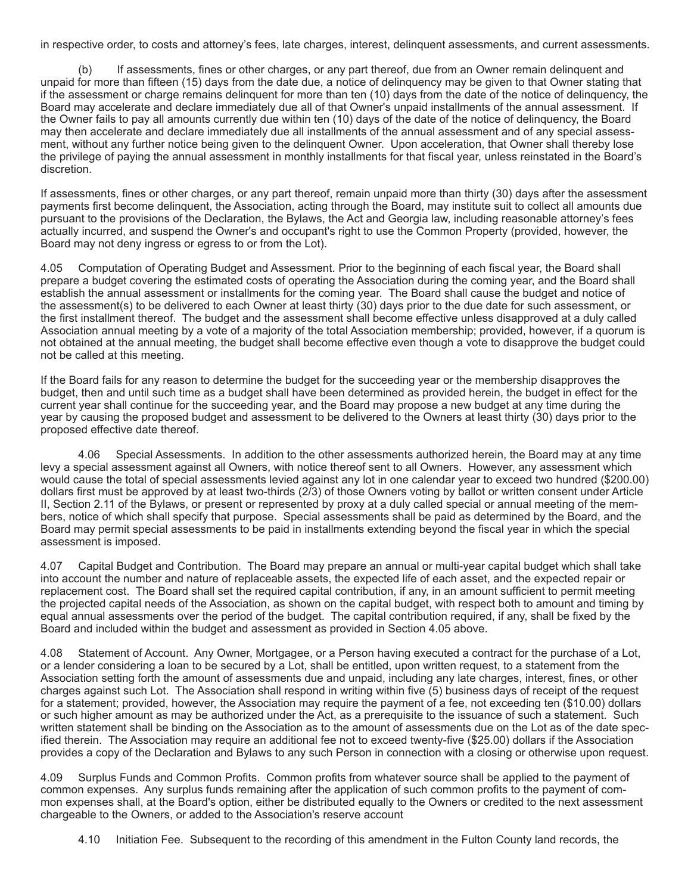in respective order, to costs and attorney's fees, late charges, interest, delinquent assessments, and current assessments.

 (b) If assessments, fines or other charges, or any part thereof, due from an Owner remain delinquent and unpaid for more than fifteen (15) days from the date due, a notice of delinquency may be given to that Owner stating that if the assessment or charge remains delinquent for more than ten (10) days from the date of the notice of delinquency, the Board may accelerate and declare immediately due all of that Owner's unpaid installments of the annual assessment. If the Owner fails to pay all amounts currently due within ten (10) days of the date of the notice of delinquency, the Board may then accelerate and declare immediately due all installments of the annual assessment and of any special assessment, without any further notice being given to the delinquent Owner. Upon acceleration, that Owner shall thereby lose the privilege of paying the annual assessment in monthly installments for that fiscal year, unless reinstated in the Board's discretion.

If assessments, fines or other charges, or any part thereof, remain unpaid more than thirty (30) days after the assessment payments first become delinquent, the Association, acting through the Board, may institute suit to collect all amounts due pursuant to the provisions of the Declaration, the Bylaws, the Act and Georgia law, including reasonable attorney's fees actually incurred, and suspend the Owner's and occupant's right to use the Common Property (provided, however, the Board may not deny ingress or egress to or from the Lot).

4.05 Computation of Operating Budget and Assessment. Prior to the beginning of each fiscal year, the Board shall prepare a budget covering the estimated costs of operating the Association during the coming year, and the Board shall establish the annual assessment or installments for the coming year. The Board shall cause the budget and notice of the assessment(s) to be delivered to each Owner at least thirty (30) days prior to the due date for such assessment, or the first installment thereof. The budget and the assessment shall become effective unless disapproved at a duly called Association annual meeting by a vote of a majority of the total Association membership; provided, however, if a quorum is not obtained at the annual meeting, the budget shall become effective even though a vote to disapprove the budget could not be called at this meeting.

If the Board fails for any reason to determine the budget for the succeeding year or the membership disapproves the budget, then and until such time as a budget shall have been determined as provided herein, the budget in effect for the current year shall continue for the succeeding year, and the Board may propose a new budget at any time during the year by causing the proposed budget and assessment to be delivered to the Owners at least thirty (30) days prior to the proposed effective date thereof.

 4.06 Special Assessments. In addition to the other assessments authorized herein, the Board may at any time levy a special assessment against all Owners, with notice thereof sent to all Owners. However, any assessment which would cause the total of special assessments levied against any lot in one calendar year to exceed two hundred (\$200.00) dollars first must be approved by at least two-thirds (2/3) of those Owners voting by ballot or written consent under Article II, Section 2.11 of the Bylaws, or present or represented by proxy at a duly called special or annual meeting of the members, notice of which shall specify that purpose. Special assessments shall be paid as determined by the Board, and the Board may permit special assessments to be paid in installments extending beyond the fiscal year in which the special assessment is imposed.

4.07 Capital Budget and Contribution. The Board may prepare an annual or multi-year capital budget which shall take into account the number and nature of replaceable assets, the expected life of each asset, and the expected repair or replacement cost. The Board shall set the required capital contribution, if any, in an amount sufficient to permit meeting the projected capital needs of the Association, as shown on the capital budget, with respect both to amount and timing by equal annual assessments over the period of the budget. The capital contribution required, if any, shall be fixed by the Board and included within the budget and assessment as provided in Section 4.05 above.

4.08 Statement of Account. Any Owner, Mortgagee, or a Person having executed a contract for the purchase of a Lot, or a lender considering a loan to be secured by a Lot, shall be entitled, upon written request, to a statement from the Association setting forth the amount of assessments due and unpaid, including any late charges, interest, fines, or other charges against such Lot. The Association shall respond in writing within five (5) business days of receipt of the request for a statement; provided, however, the Association may require the payment of a fee, not exceeding ten (\$10.00) dollars or such higher amount as may be authorized under the Act, as a prerequisite to the issuance of such a statement. Such written statement shall be binding on the Association as to the amount of assessments due on the Lot as of the date specified therein. The Association may require an additional fee not to exceed twenty-five (\$25.00) dollars if the Association provides a copy of the Declaration and Bylaws to any such Person in connection with a closing or otherwise upon request.

4.09 Surplus Funds and Common Profits. Common profits from whatever source shall be applied to the payment of common expenses. Any surplus funds remaining after the application of such common profits to the payment of common expenses shall, at the Board's option, either be distributed equally to the Owners or credited to the next assessment chargeable to the Owners, or added to the Association's reserve account

4.10 Initiation Fee. Subsequent to the recording of this amendment in the Fulton County land records, the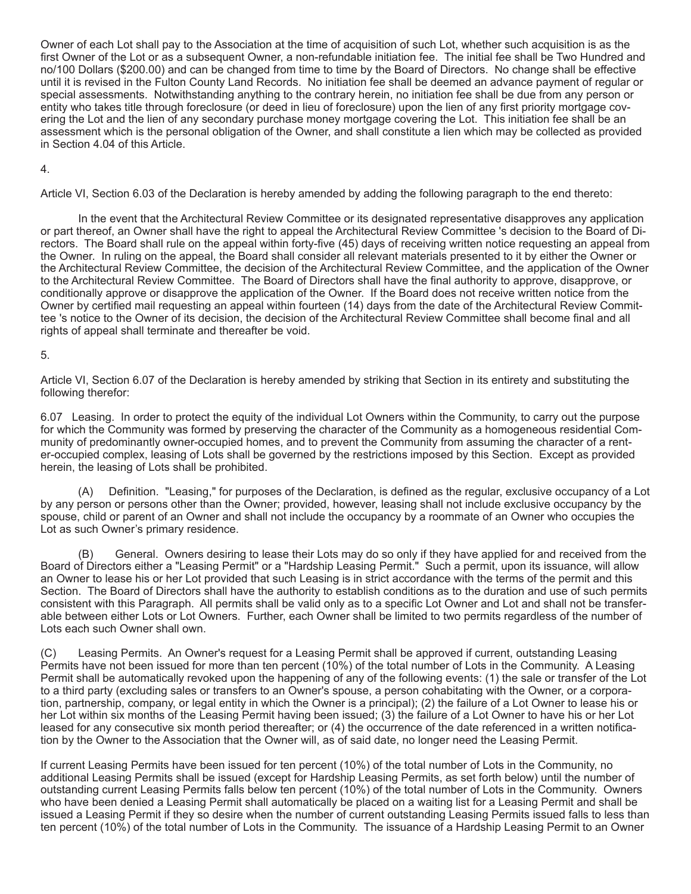Owner of each Lot shall pay to the Association at the time of acquisition of such Lot, whether such acquisition is as the first Owner of the Lot or as a subsequent Owner, a non-refundable initiation fee. The initial fee shall be Two Hundred and no/100 Dollars (\$200.00) and can be changed from time to time by the Board of Directors. No change shall be effective until it is revised in the Fulton County Land Records. No initiation fee shall be deemed an advance payment of regular or special assessments. Notwithstanding anything to the contrary herein, no initiation fee shall be due from any person or entity who takes title through foreclosure (or deed in lieu of foreclosure) upon the lien of any first priority mortgage covering the Lot and the lien of any secondary purchase money mortgage covering the Lot. This initiation fee shall be an assessment which is the personal obligation of the Owner, and shall constitute a lien which may be collected as provided in Section 4.04 of this Article.

#### 4.

Article VI, Section 6.03 of the Declaration is hereby amended by adding the following paragraph to the end thereto:

 In the event that the Architectural Review Committee or its designated representative disapproves any application or part thereof, an Owner shall have the right to appeal the Architectural Review Committee 's decision to the Board of Directors. The Board shall rule on the appeal within forty-five (45) days of receiving written notice requesting an appeal from the Owner. In ruling on the appeal, the Board shall consider all relevant materials presented to it by either the Owner or the Architectural Review Committee, the decision of the Architectural Review Committee, and the application of the Owner to the Architectural Review Committee. The Board of Directors shall have the final authority to approve, disapprove, or conditionally approve or disapprove the application of the Owner. If the Board does not receive written notice from the Owner by certified mail requesting an appeal within fourteen (14) days from the date of the Architectural Review Committee 's notice to the Owner of its decision, the decision of the Architectural Review Committee shall become final and all rights of appeal shall terminate and thereafter be void.

## 5.

Article VI, Section 6.07 of the Declaration is hereby amended by striking that Section in its entirety and substituting the following therefor:

6.07 Leasing. In order to protect the equity of the individual Lot Owners within the Community, to carry out the purpose for which the Community was formed by preserving the character of the Community as a homogeneous residential Community of predominantly owner-occupied homes, and to prevent the Community from assuming the character of a renter-occupied complex, leasing of Lots shall be governed by the restrictions imposed by this Section. Except as provided herein, the leasing of Lots shall be prohibited.

 (A) Definition. "Leasing," for purposes of the Declaration, is defined as the regular, exclusive occupancy of a Lot by any person or persons other than the Owner; provided, however, leasing shall not include exclusive occupancy by the spouse, child or parent of an Owner and shall not include the occupancy by a roommate of an Owner who occupies the Lot as such Owner's primary residence.

 (B) General. Owners desiring to lease their Lots may do so only if they have applied for and received from the Board of Directors either a "Leasing Permit" or a "Hardship Leasing Permit." Such a permit, upon its issuance, will allow an Owner to lease his or her Lot provided that such Leasing is in strict accordance with the terms of the permit and this Section. The Board of Directors shall have the authority to establish conditions as to the duration and use of such permits consistent with this Paragraph. All permits shall be valid only as to a specific Lot Owner and Lot and shall not be transferable between either Lots or Lot Owners. Further, each Owner shall be limited to two permits regardless of the number of Lots each such Owner shall own.

(C) Leasing Permits. An Owner's request for a Leasing Permit shall be approved if current, outstanding Leasing Permits have not been issued for more than ten percent (10%) of the total number of Lots in the Community. A Leasing Permit shall be automatically revoked upon the happening of any of the following events: (1) the sale or transfer of the Lot to a third party (excluding sales or transfers to an Owner's spouse, a person cohabitating with the Owner, or a corporation, partnership, company, or legal entity in which the Owner is a principal); (2) the failure of a Lot Owner to lease his or her Lot within six months of the Leasing Permit having been issued; (3) the failure of a Lot Owner to have his or her Lot leased for any consecutive six month period thereafter; or (4) the occurrence of the date referenced in a written notification by the Owner to the Association that the Owner will, as of said date, no longer need the Leasing Permit.

If current Leasing Permits have been issued for ten percent (10%) of the total number of Lots in the Community, no additional Leasing Permits shall be issued (except for Hardship Leasing Permits, as set forth below) until the number of outstanding current Leasing Permits falls below ten percent (10%) of the total number of Lots in the Community. Owners who have been denied a Leasing Permit shall automatically be placed on a waiting list for a Leasing Permit and shall be issued a Leasing Permit if they so desire when the number of current outstanding Leasing Permits issued falls to less than ten percent (10%) of the total number of Lots in the Community. The issuance of a Hardship Leasing Permit to an Owner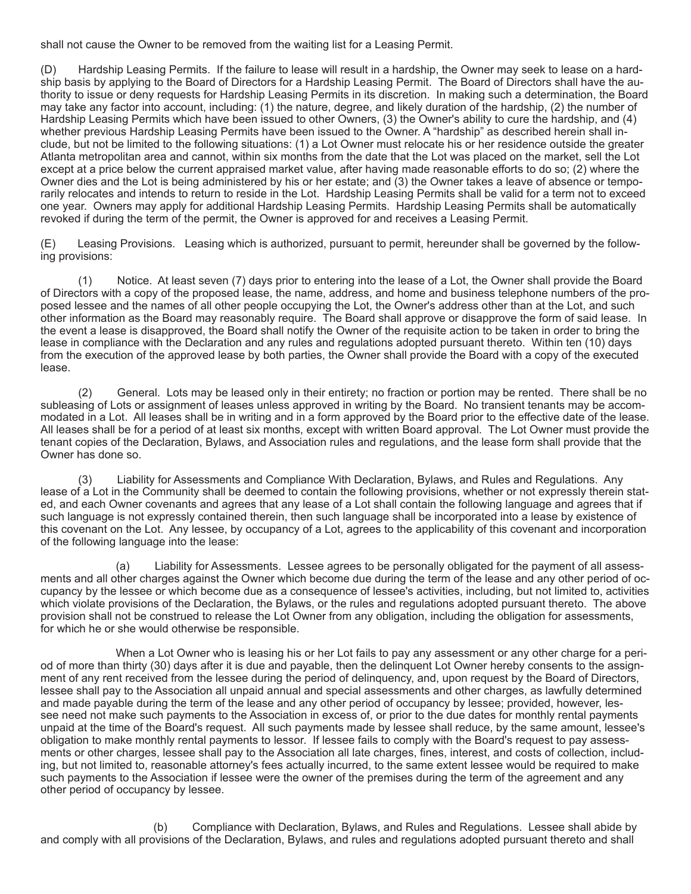shall not cause the Owner to be removed from the waiting list for a Leasing Permit.

(D) Hardship Leasing Permits. If the failure to lease will result in a hardship, the Owner may seek to lease on a hardship basis by applying to the Board of Directors for a Hardship Leasing Permit. The Board of Directors shall have the authority to issue or deny requests for Hardship Leasing Permits in its discretion. In making such a determination, the Board may take any factor into account, including: (1) the nature, degree, and likely duration of the hardship, (2) the number of Hardship Leasing Permits which have been issued to other Owners, (3) the Owner's ability to cure the hardship, and (4) whether previous Hardship Leasing Permits have been issued to the Owner. A "hardship" as described herein shall include, but not be limited to the following situations: (1) a Lot Owner must relocate his or her residence outside the greater Atlanta metropolitan area and cannot, within six months from the date that the Lot was placed on the market, sell the Lot except at a price below the current appraised market value, after having made reasonable efforts to do so; (2) where the Owner dies and the Lot is being administered by his or her estate; and (3) the Owner takes a leave of absence or temporarily relocates and intends to return to reside in the Lot. Hardship Leasing Permits shall be valid for a term not to exceed one year. Owners may apply for additional Hardship Leasing Permits. Hardship Leasing Permits shall be automatically revoked if during the term of the permit, the Owner is approved for and receives a Leasing Permit.

(E) Leasing Provisions. Leasing which is authorized, pursuant to permit, hereunder shall be governed by the following provisions:

 (1) Notice. At least seven (7) days prior to entering into the lease of a Lot, the Owner shall provide the Board of Directors with a copy of the proposed lease, the name, address, and home and business telephone numbers of the proposed lessee and the names of all other people occupying the Lot, the Owner's address other than at the Lot, and such other information as the Board may reasonably require. The Board shall approve or disapprove the form of said lease. In the event a lease is disapproved, the Board shall notify the Owner of the requisite action to be taken in order to bring the lease in compliance with the Declaration and any rules and regulations adopted pursuant thereto. Within ten (10) days from the execution of the approved lease by both parties, the Owner shall provide the Board with a copy of the executed lease.

 (2) General. Lots may be leased only in their entirety; no fraction or portion may be rented. There shall be no subleasing of Lots or assignment of leases unless approved in writing by the Board. No transient tenants may be accommodated in a Lot. All leases shall be in writing and in a form approved by the Board prior to the effective date of the lease. All leases shall be for a period of at least six months, except with written Board approval. The Lot Owner must provide the tenant copies of the Declaration, Bylaws, and Association rules and regulations, and the lease form shall provide that the Owner has done so.

 (3) Liability for Assessments and Compliance With Declaration, Bylaws, and Rules and Regulations. Any lease of a Lot in the Community shall be deemed to contain the following provisions, whether or not expressly therein stated, and each Owner covenants and agrees that any lease of a Lot shall contain the following language and agrees that if such language is not expressly contained therein, then such language shall be incorporated into a lease by existence of this covenant on the Lot. Any lessee, by occupancy of a Lot, agrees to the applicability of this covenant and incorporation of the following language into the lease:

 (a) Liability for Assessments. Lessee agrees to be personally obligated for the payment of all assessments and all other charges against the Owner which become due during the term of the lease and any other period of occupancy by the lessee or which become due as a consequence of lessee's activities, including, but not limited to, activities which violate provisions of the Declaration, the Bylaws, or the rules and regulations adopted pursuant thereto. The above provision shall not be construed to release the Lot Owner from any obligation, including the obligation for assessments, for which he or she would otherwise be responsible.

When a Lot Owner who is leasing his or her Lot fails to pay any assessment or any other charge for a period of more than thirty (30) days after it is due and payable, then the delinquent Lot Owner hereby consents to the assignment of any rent received from the lessee during the period of delinquency, and, upon request by the Board of Directors, lessee shall pay to the Association all unpaid annual and special assessments and other charges, as lawfully determined and made payable during the term of the lease and any other period of occupancy by lessee; provided, however, lessee need not make such payments to the Association in excess of, or prior to the due dates for monthly rental payments unpaid at the time of the Board's request. All such payments made by lessee shall reduce, by the same amount, lessee's obligation to make monthly rental payments to lessor. If lessee fails to comply with the Board's request to pay assessments or other charges, lessee shall pay to the Association all late charges, fines, interest, and costs of collection, including, but not limited to, reasonable attorney's fees actually incurred, to the same extent lessee would be required to make such payments to the Association if lessee were the owner of the premises during the term of the agreement and any other period of occupancy by lessee.

 (b) Compliance with Declaration, Bylaws, and Rules and Regulations. Lessee shall abide by and comply with all provisions of the Declaration, Bylaws, and rules and regulations adopted pursuant thereto and shall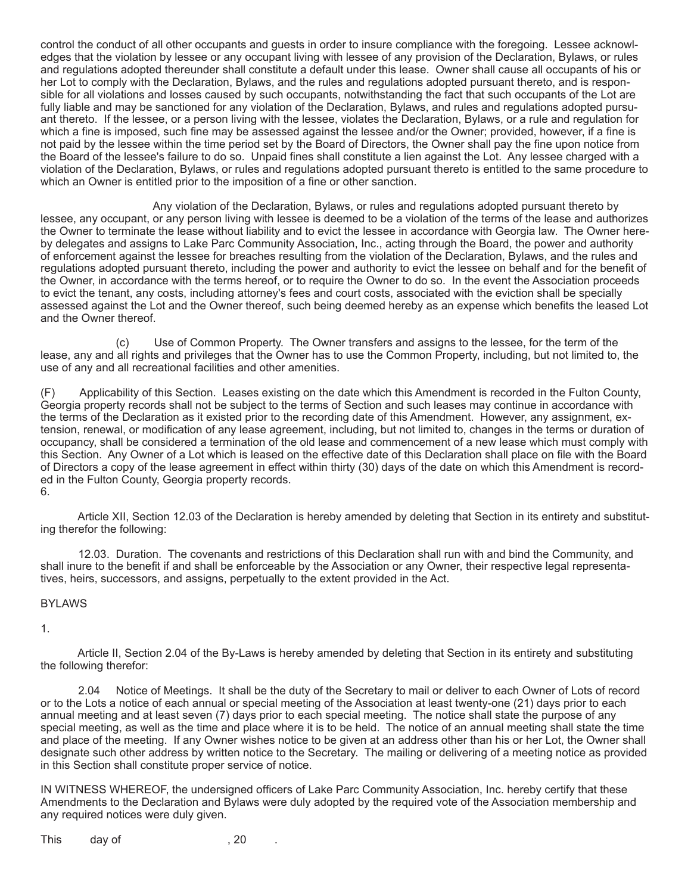control the conduct of all other occupants and guests in order to insure compliance with the foregoing. Lessee acknowledges that the violation by lessee or any occupant living with lessee of any provision of the Declaration, Bylaws, or rules and regulations adopted thereunder shall constitute a default under this lease. Owner shall cause all occupants of his or her Lot to comply with the Declaration, Bylaws, and the rules and regulations adopted pursuant thereto, and is responsible for all violations and losses caused by such occupants, notwithstanding the fact that such occupants of the Lot are fully liable and may be sanctioned for any violation of the Declaration, Bylaws, and rules and regulations adopted pursuant thereto. If the lessee, or a person living with the lessee, violates the Declaration, Bylaws, or a rule and regulation for which a fine is imposed, such fine may be assessed against the lessee and/or the Owner; provided, however, if a fine is not paid by the lessee within the time period set by the Board of Directors, the Owner shall pay the fine upon notice from the Board of the lessee's failure to do so. Unpaid fines shall constitute a lien against the Lot. Any lessee charged with a violation of the Declaration, Bylaws, or rules and regulations adopted pursuant thereto is entitled to the same procedure to which an Owner is entitled prior to the imposition of a fine or other sanction.

 Any violation of the Declaration, Bylaws, or rules and regulations adopted pursuant thereto by lessee, any occupant, or any person living with lessee is deemed to be a violation of the terms of the lease and authorizes the Owner to terminate the lease without liability and to evict the lessee in accordance with Georgia law. The Owner hereby delegates and assigns to Lake Parc Community Association, Inc., acting through the Board, the power and authority of enforcement against the lessee for breaches resulting from the violation of the Declaration, Bylaws, and the rules and regulations adopted pursuant thereto, including the power and authority to evict the lessee on behalf and for the benefit of the Owner, in accordance with the terms hereof, or to require the Owner to do so. In the event the Association proceeds to evict the tenant, any costs, including attorney's fees and court costs, associated with the eviction shall be specially assessed against the Lot and the Owner thereof, such being deemed hereby as an expense which benefits the leased Lot and the Owner thereof.

 (c) Use of Common Property. The Owner transfers and assigns to the lessee, for the term of the lease, any and all rights and privileges that the Owner has to use the Common Property, including, but not limited to, the use of any and all recreational facilities and other amenities.

(F) Applicability of this Section. Leases existing on the date which this Amendment is recorded in the Fulton County, Georgia property records shall not be subject to the terms of Section and such leases may continue in accordance with the terms of the Declaration as it existed prior to the recording date of this Amendment. However, any assignment, extension, renewal, or modification of any lease agreement, including, but not limited to, changes in the terms or duration of occupancy, shall be considered a termination of the old lease and commencement of a new lease which must comply with this Section. Any Owner of a Lot which is leased on the effective date of this Declaration shall place on file with the Board of Directors a copy of the lease agreement in effect within thirty (30) days of the date on which this Amendment is recorded in the Fulton County, Georgia property records. 6.

 Article XII, Section 12.03 of the Declaration is hereby amended by deleting that Section in its entirety and substituting therefor the following:

 12.03. Duration. The covenants and restrictions of this Declaration shall run with and bind the Community, and shall inure to the benefit if and shall be enforceable by the Association or any Owner, their respective legal representatives, heirs, successors, and assigns, perpetually to the extent provided in the Act.

## BYLAWS

1.

 Article II, Section 2.04 of the By-Laws is hereby amended by deleting that Section in its entirety and substituting the following therefor:

 2.04 Notice of Meetings. It shall be the duty of the Secretary to mail or deliver to each Owner of Lots of record or to the Lots a notice of each annual or special meeting of the Association at least twenty-one (21) days prior to each annual meeting and at least seven (7) days prior to each special meeting. The notice shall state the purpose of any special meeting, as well as the time and place where it is to be held. The notice of an annual meeting shall state the time and place of the meeting. If any Owner wishes notice to be given at an address other than his or her Lot, the Owner shall designate such other address by written notice to the Secretary. The mailing or delivering of a meeting notice as provided in this Section shall constitute proper service of notice.

IN WITNESS WHEREOF, the undersigned officers of Lake Parc Community Association, Inc. hereby certify that these Amendments to the Declaration and Bylaws were duly adopted by the required vote of the Association membership and any required notices were duly given.

This day of , 20 .